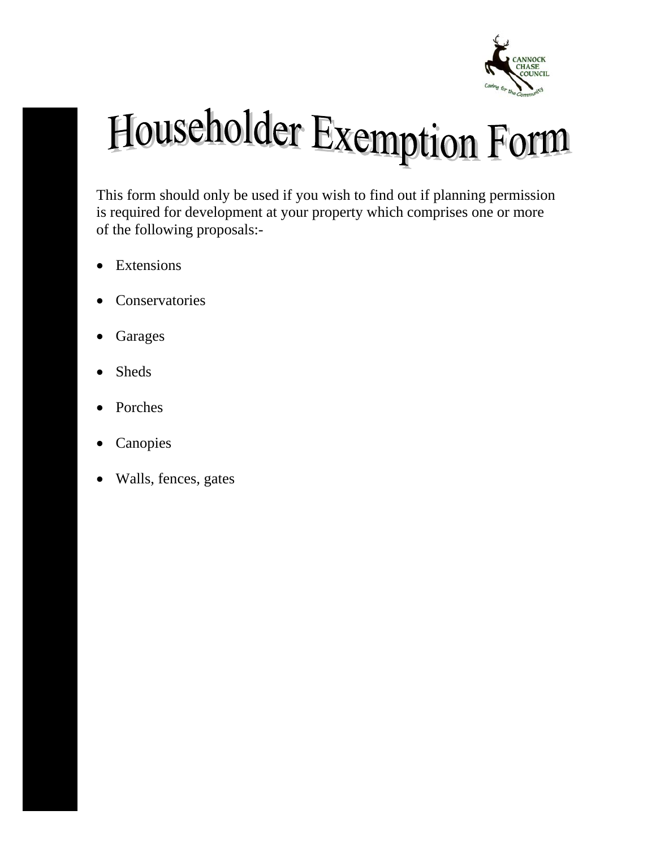

# Householder Exemption Form

This form should only be used if you wish to find out if planning permission is required for development at your property which comprises one or more of the following proposals:-

- Extensions
- Conservatories
- Garages
- Sheds
- Porches
- Canopies
- Walls, fences, gates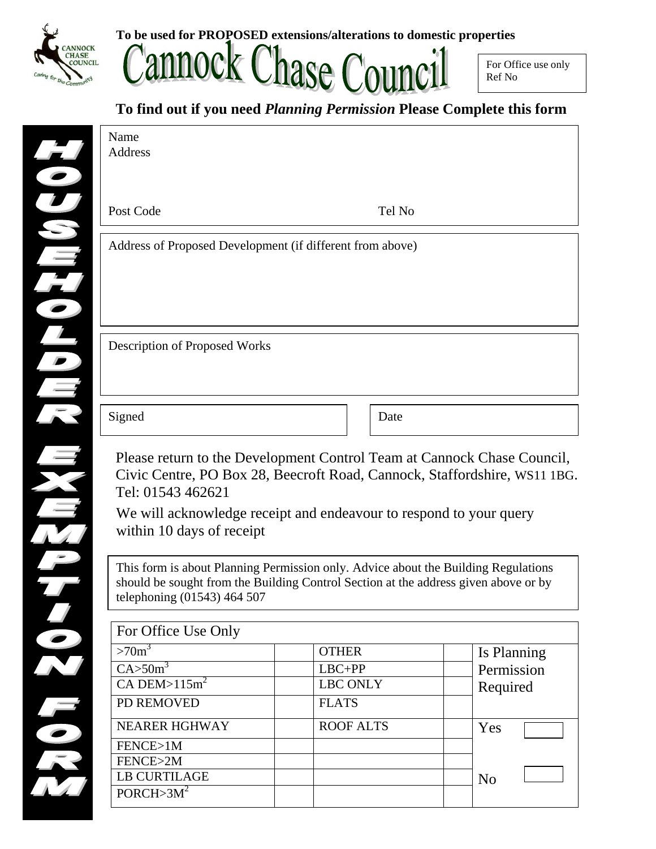

Name

**To be used for PROPOSED extensions/alterations to domestic properties** 



#### **To find out if you need** *Planning Permission* **Please Complete this form**

| Post Code                                                                                                                   | Tel No                                                                                                                                                                    |                |
|-----------------------------------------------------------------------------------------------------------------------------|---------------------------------------------------------------------------------------------------------------------------------------------------------------------------|----------------|
| Address of Proposed Development (if different from above)                                                                   |                                                                                                                                                                           |                |
|                                                                                                                             |                                                                                                                                                                           |                |
| <b>Description of Proposed Works</b>                                                                                        |                                                                                                                                                                           |                |
| Signed                                                                                                                      | Date                                                                                                                                                                      |                |
|                                                                                                                             | Please return to the Development Control Team at Cannock Chase Council,                                                                                                   |                |
| Civic Centre, PO Box 28, Beecroft Road, Cannock, Staffordshire, WS11 1BG.<br>Tel: 01543 462621<br>within 10 days of receipt | We will acknowledge receipt and endeavour to respond to your query                                                                                                        |                |
| telephoning (01543) 464 507                                                                                                 | This form is about Planning Permission only. Advice about the Building Regulations<br>should be sought from the Building Control Section at the address given above or by |                |
| For Office Use Only                                                                                                         |                                                                                                                                                                           |                |
| >70 <sup>3</sup>                                                                                                            | <b>OTHER</b>                                                                                                                                                              | Is Planning    |
| $C$ A>50m <sup>3</sup>                                                                                                      | $LBC+PP$                                                                                                                                                                  | Permission     |
| $CA$ DEM> $115m2$                                                                                                           | <b>LBC ONLY</b>                                                                                                                                                           | Required       |
| PD REMOVED                                                                                                                  | <b>FLATS</b>                                                                                                                                                              |                |
| <b>NEARER HGHWAY</b>                                                                                                        | <b>ROOF ALTS</b>                                                                                                                                                          | Yes            |
| FENCE>1M                                                                                                                    |                                                                                                                                                                           |                |
| FENCE>2M                                                                                                                    |                                                                                                                                                                           |                |
| <b>LB CURTILAGE</b><br>PORCH > 3M <sup>2</sup>                                                                              |                                                                                                                                                                           | N <sub>o</sub> |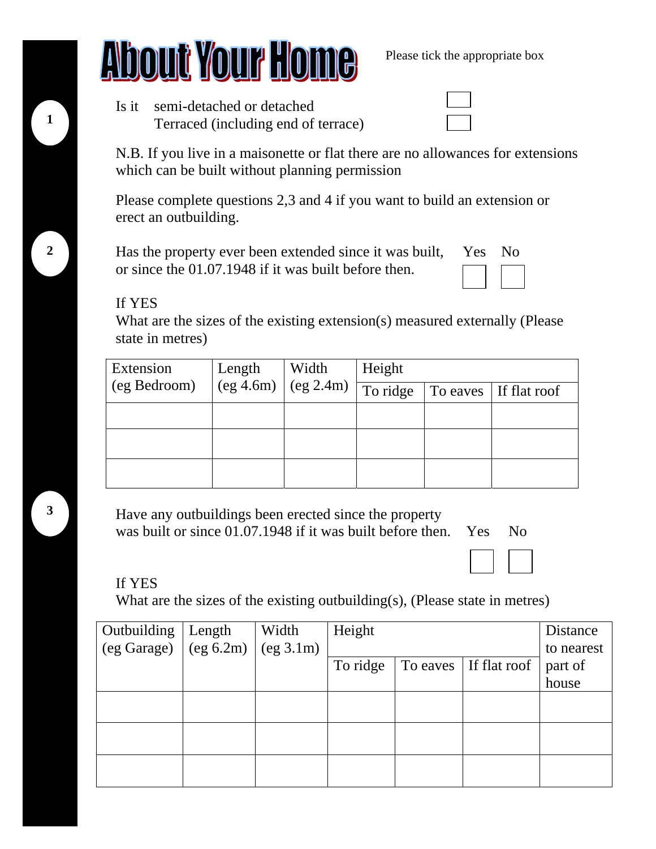## **About Your Home** Please tick the appropriate box

| Is it semi-detached or detached     |
|-------------------------------------|
| Terraced (including end of terrace) |

N.B. If you live in a maisonette or flat there are no allowances for extensions which can be built without planning permission

Please complete questions 2,3 and 4 if you want to build an extension or erect an outbuilding.

Has the property ever been extended since it was built, Yes No or since the 01.07.1948 if it was built before then.

#### If YES

What are the sizes of the existing extension(s) measured externally (Please state in metres)

| Extension    | Width<br>Length |                                    | Height   |  |                       |  |
|--------------|-----------------|------------------------------------|----------|--|-----------------------|--|
| (eg Bedroom) |                 | $\log$ 4.6m) $\log$ 2.4m) $\Gamma$ | To ridge |  | To eaves If flat roof |  |
|              |                 |                                    |          |  |                       |  |
|              |                 |                                    |          |  |                       |  |
|              |                 |                                    |          |  |                       |  |

Have any outbuildings been erected since the property was built or since  $01.07.1948$  if it was built before then. Yes No

#### If YES

What are the sizes of the existing outbuilding(s), (Please state in metres)

| Outbuilding                                                                | Length | Width     | Height   |                       | Distance   |
|----------------------------------------------------------------------------|--------|-----------|----------|-----------------------|------------|
| $\left( \text{eg Garage} \right)$ $\left( \text{eg } 6.2 \text{m} \right)$ |        | (eg 3.1m) |          |                       | to nearest |
|                                                                            |        |           | To ridge | To eaves If flat roof | part of    |
|                                                                            |        |           |          |                       | house      |
|                                                                            |        |           |          |                       |            |
|                                                                            |        |           |          |                       |            |
|                                                                            |        |           |          |                       |            |
|                                                                            |        |           |          |                       |            |
|                                                                            |        |           |          |                       |            |
|                                                                            |        |           |          |                       |            |

**1**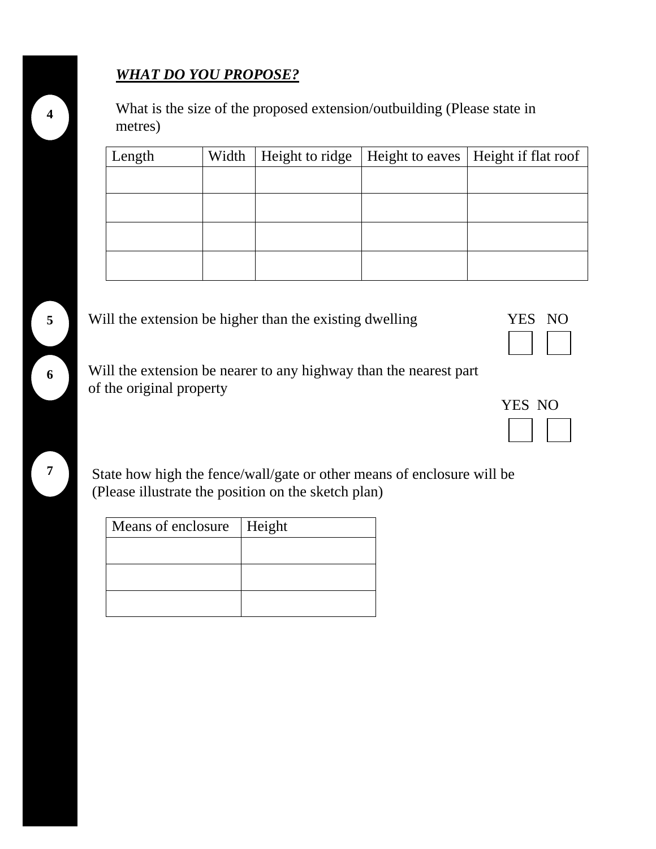### *WHAT DO YOU PROPOSE?*

What is the size of the proposed extension/outbuilding (Please state in metres)

| Length | Width   Height to ridge | Height to eaves   Height if flat roof |
|--------|-------------------------|---------------------------------------|
|        |                         |                                       |
|        |                         |                                       |
|        |                         |                                       |
|        |                         |                                       |



| YES | N() |
|-----|-----|
|     |     |

 Will the extension be nearer to any highway than the nearest part of the original property

 State how high the fence/wall/gate or other means of enclosure will be (Please illustrate the position on the sketch plan)

| Means of enclosure   Height |
|-----------------------------|
|                             |
|                             |
|                             |
|                             |

YES NO



**7**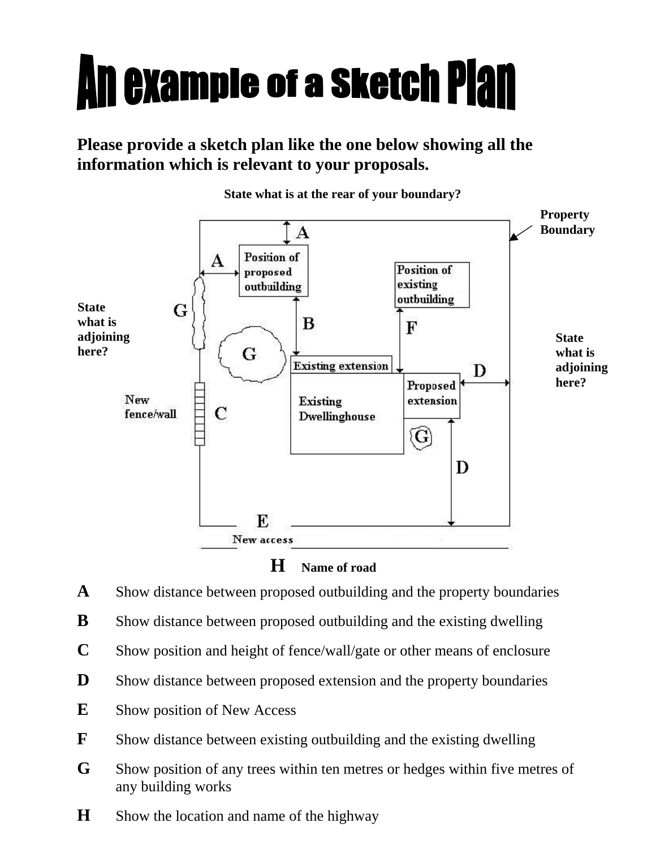# **An example of a sketch Plan**

### **Please provide a sketch plan like the one below showing all the information which is relevant to your proposals.**



**State what is at the rear of your boundary?** 



- **A** Show distance between proposed outbuilding and the property boundaries
- **B** Show distance between proposed outbuilding and the existing dwelling
- **C** Show position and height of fence/wall/gate or other means of enclosure
- **D** Show distance between proposed extension and the property boundaries
- **E** Show position of New Access
- **F** Show distance between existing outbuilding and the existing dwelling
- **G** Show position of any trees within ten metres or hedges within five metres of any building works
- **H** Show the location and name of the highway